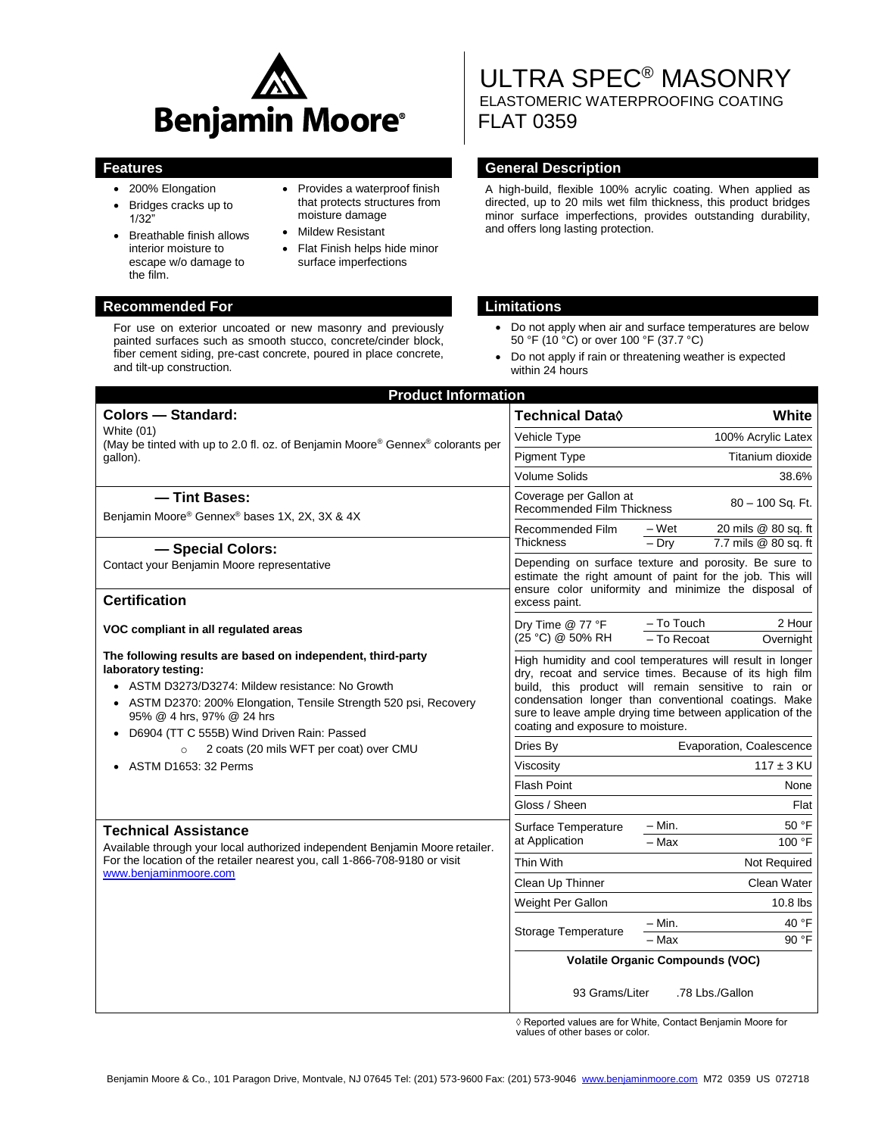

- 200% Elongation
- Bridges cracks up to 1/32"
- Breathable finish allows interior moisture to escape w/o damage to the film.
- Provides a waterproof finish that protects structures from moisture damage • Mildew Resistant
- Flat Finish helps hide minor surface imperfections

## **Recommended For Limitations**

For use on exterior uncoated or new masonry and previously painted surfaces such as smooth stucco, concrete/cinder block, fiber cement siding, pre-cast concrete, poured in place concrete, and tilt-up construction.

# ULTRA SPEC® MASONRY ELASTOMERIC WATERPROOFING COATING FLAT 0359

## **Features General Description**

A high-build, flexible 100% acrylic coating. When applied as directed, up to 20 mils wet film thickness, this product bridges minor surface imperfections, provides outstanding durability, and offers long lasting protection.

- Do not apply when air and surface temperatures are below 50 °F (10 °C) or over 100 °F (37.7 °C)
- Do not apply if rain or threatening weather is expected within 24 hours

| <b>Product Information</b>                                                                                                                                                                                                                                                             |                                                                                                                                                                                                                                                                                                                                         |                                                  |
|----------------------------------------------------------------------------------------------------------------------------------------------------------------------------------------------------------------------------------------------------------------------------------------|-----------------------------------------------------------------------------------------------------------------------------------------------------------------------------------------------------------------------------------------------------------------------------------------------------------------------------------------|--------------------------------------------------|
| <b>Colors - Standard:</b>                                                                                                                                                                                                                                                              | Technical Data <sup>(</sup>                                                                                                                                                                                                                                                                                                             | White                                            |
| White (01)<br>(May be tinted with up to 2.0 fl. oz. of Benjamin Moore® Gennex® colorants per<br>gallon).                                                                                                                                                                               | Vehicle Type                                                                                                                                                                                                                                                                                                                            | 100% Acrylic Latex                               |
|                                                                                                                                                                                                                                                                                        | <b>Pigment Type</b>                                                                                                                                                                                                                                                                                                                     | Titanium dioxide                                 |
|                                                                                                                                                                                                                                                                                        | <b>Volume Solids</b>                                                                                                                                                                                                                                                                                                                    | 38.6%                                            |
| - Tint Bases:<br>Benjamin Moore® Gennex® bases 1X, 2X, 3X & 4X                                                                                                                                                                                                                         | Coverage per Gallon at<br>80 - 100 Sq. Ft.<br><b>Recommended Film Thickness</b>                                                                                                                                                                                                                                                         |                                                  |
|                                                                                                                                                                                                                                                                                        | Recommended Film                                                                                                                                                                                                                                                                                                                        | 20 mils @ 80 sq. ft<br>– Wet                     |
| - Special Colors:                                                                                                                                                                                                                                                                      | <b>Thickness</b>                                                                                                                                                                                                                                                                                                                        | $-$ Drv<br>7.7 mils @ 80 sq. ft                  |
| Contact your Benjamin Moore representative                                                                                                                                                                                                                                             | Depending on surface texture and porosity. Be sure to<br>estimate the right amount of paint for the job. This will<br>ensure color uniformity and minimize the disposal of<br>excess paint.                                                                                                                                             |                                                  |
| <b>Certification</b>                                                                                                                                                                                                                                                                   |                                                                                                                                                                                                                                                                                                                                         |                                                  |
| VOC compliant in all regulated areas                                                                                                                                                                                                                                                   | Dry Time @ 77 °F<br>(25 °C) @ 50% RH                                                                                                                                                                                                                                                                                                    | - To Touch<br>2 Hour<br>- To Recoat<br>Overnight |
| The following results are based on independent, third-party<br>laboratory testing:<br>• ASTM D3273/D3274: Mildew resistance: No Growth<br>• ASTM D2370: 200% Elongation, Tensile Strength 520 psi, Recovery<br>95% @ 4 hrs, 97% @ 24 hrs<br>D6904 (TT C 555B) Wind Driven Rain: Passed | High humidity and cool temperatures will result in longer<br>drv. recoat and service times. Because of its high film<br>build, this product will remain sensitive to rain or<br>condensation longer than conventional coatings. Make<br>sure to leave ample drying time between application of the<br>coating and exposure to moisture. |                                                  |
| 2 coats (20 mils WFT per coat) over CMU<br>$\circ$                                                                                                                                                                                                                                     | Dries By                                                                                                                                                                                                                                                                                                                                | Evaporation, Coalescence                         |
| • ASTM D1653: 32 Perms                                                                                                                                                                                                                                                                 | Viscosity                                                                                                                                                                                                                                                                                                                               | $117 \pm 3$ KU                                   |
|                                                                                                                                                                                                                                                                                        | <b>Flash Point</b>                                                                                                                                                                                                                                                                                                                      | None                                             |
|                                                                                                                                                                                                                                                                                        | Gloss / Sheen                                                                                                                                                                                                                                                                                                                           | Flat                                             |
| <b>Technical Assistance</b><br>Available through your local authorized independent Benjamin Moore retailer.<br>For the location of the retailer nearest you, call 1-866-708-9180 or visit<br>www.benjaminmoore.com                                                                     | Surface Temperature<br>at Application                                                                                                                                                                                                                                                                                                   | 50 °F<br>– Min.                                  |
|                                                                                                                                                                                                                                                                                        |                                                                                                                                                                                                                                                                                                                                         | $-Max$<br>100 °F                                 |
|                                                                                                                                                                                                                                                                                        | <b>Thin With</b>                                                                                                                                                                                                                                                                                                                        | Not Required                                     |
|                                                                                                                                                                                                                                                                                        | Clean Up Thinner                                                                                                                                                                                                                                                                                                                        | Clean Water                                      |
|                                                                                                                                                                                                                                                                                        | Weight Per Gallon                                                                                                                                                                                                                                                                                                                       | 10.8 lbs                                         |
|                                                                                                                                                                                                                                                                                        | Storage Temperature                                                                                                                                                                                                                                                                                                                     | $-$ Min.<br>40 °F                                |
|                                                                                                                                                                                                                                                                                        |                                                                                                                                                                                                                                                                                                                                         | 90 °F<br>$-$ Max                                 |
|                                                                                                                                                                                                                                                                                        | <b>Volatile Organic Compounds (VOC)</b>                                                                                                                                                                                                                                                                                                 |                                                  |
|                                                                                                                                                                                                                                                                                        | 93 Grams/Liter                                                                                                                                                                                                                                                                                                                          | .78 Lbs./Gallon                                  |

◊ Reported values are for White, Contact Benjamin Moore for values of other bases or color.